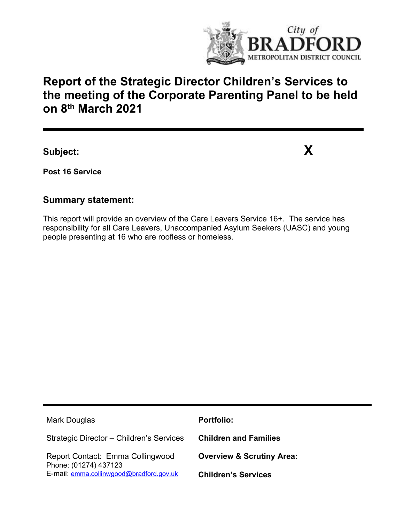

# **Report of the Strategic Director Children's Services to the meeting of the Corporate Parenting Panel to be held on 8 th March 2021**

**Subject: X**

**Post 16 Service**

### **Summary statement:**

This report will provide an overview of the Care Leavers Service 16+. The service has responsibility for all Care Leavers, Unaccompanied Asylum Seekers (UASC) and young people presenting at 16 who are roofless or homeless.

| Mark Douglas                                              | <b>Portfolio:</b>                    |
|-----------------------------------------------------------|--------------------------------------|
| Strategic Director - Children's Services                  | <b>Children and Families</b>         |
| Report Contact: Emma Collingwood<br>Phone: (01274) 437123 | <b>Overview &amp; Scrutiny Area:</b> |
| E-mail: emma.collinwgood@bradford.gov.uk                  | <b>Children's Services</b>           |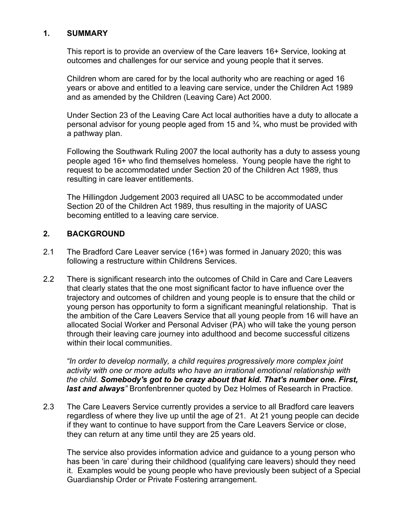#### **1. SUMMARY**

This report is to provide an overview of the Care leavers 16+ Service, looking at outcomes and challenges for our service and young people that it serves.

Children whom are cared for by the local authority who are reaching or aged 16 years or above and entitled to a leaving care service, under the Children Act 1989 and as amended by the Children (Leaving Care) Act 2000.

Under Section 23 of the Leaving Care Act local authorities have a duty to allocate a personal advisor for young people aged from 15 and ¾, who must be provided with a pathway plan.

Following the Southwark Ruling 2007 the local authority has a duty to assess young people aged 16+ who find themselves homeless. Young people have the right to request to be accommodated under Section 20 of the Children Act 1989, thus resulting in care leaver entitlements.

The Hillingdon Judgement 2003 required all UASC to be accommodated under Section 20 of the Children Act 1989, thus resulting in the majority of UASC becoming entitled to a leaving care service.

### **2. BACKGROUND**

- 2.1 The Bradford Care Leaver service (16+) was formed in January 2020; this was following a restructure within Childrens Services.
- 2.2 There is significant research into the outcomes of Child in Care and Care Leavers that clearly states that the one most significant factor to have influence over the trajectory and outcomes of children and young people is to ensure that the child or young person has opportunity to form a significant meaningful relationship. That is the ambition of the Care Leavers Service that all young people from 16 will have an allocated Social Worker and Personal Adviser (PA) who will take the young person through their leaving care journey into adulthood and become successful citizens within their local communities.

*"In order to develop normally, a child requires progressively more complex joint activity with one or more adults who have an irrational emotional relationship with the child. Somebody's got to be crazy about that kid. That's number one. First, last and always"* Bronfenbrenner quoted by Dez Holmes of Research in Practice.

2.3 The Care Leavers Service currently provides a service to all Bradford care leavers regardless of where they live up until the age of 21. At 21 young people can decide if they want to continue to have support from the Care Leavers Service or close, they can return at any time until they are 25 years old.

The service also provides information advice and guidance to a young person who has been 'in care' during their childhood (qualifying care leavers) should they need it. Examples would be young people who have previously been subject of a Special Guardianship Order or Private Fostering arrangement.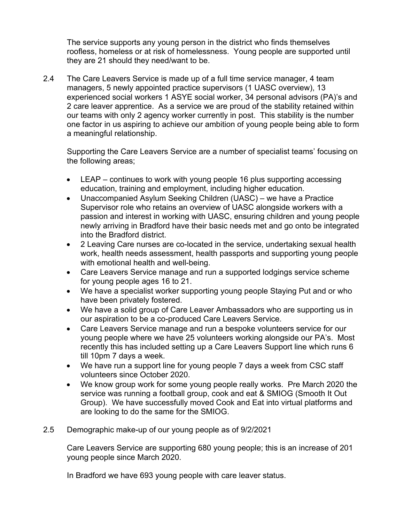The service supports any young person in the district who finds themselves roofless, homeless or at risk of homelessness. Young people are supported until they are 21 should they need/want to be.

2.4 The Care Leavers Service is made up of a full time service manager, 4 team managers, 5 newly appointed practice supervisors (1 UASC overview), 13 experienced social workers 1 ASYE social worker, 34 personal advisors (PA)'s and 2 care leaver apprentice. As a service we are proud of the stability retained within our teams with only 2 agency worker currently in post. This stability is the number one factor in us aspiring to achieve our ambition of young people being able to form a meaningful relationship.

Supporting the Care Leavers Service are a number of specialist teams' focusing on the following areas;

- LEAP continues to work with young people 16 plus supporting accessing education, training and employment, including higher education.
- Unaccompanied Asylum Seeking Children (UASC) we have a Practice Supervisor role who retains an overview of UASC alongside workers with a passion and interest in working with UASC, ensuring children and young people newly arriving in Bradford have their basic needs met and go onto be integrated into the Bradford district.
- 2 Leaving Care nurses are co-located in the service, undertaking sexual health work, health needs assessment, health passports and supporting young people with emotional health and well-being.
- Care Leavers Service manage and run a supported lodgings service scheme for young people ages 16 to 21.
- We have a specialist worker supporting young people Staying Put and or who have been privately fostered.
- We have a solid group of Care Leaver Ambassadors who are supporting us in our aspiration to be a co-produced Care Leavers Service.
- Care Leavers Service manage and run a bespoke volunteers service for our young people where we have 25 volunteers working alongside our PA's. Most recently this has included setting up a Care Leavers Support line which runs 6 till 10pm 7 days a week.
- We have run a support line for young people 7 days a week from CSC staff volunteers since October 2020.
- We know group work for some young people really works. Pre March 2020 the service was running a football group, cook and eat & SMIOG (Smooth It Out Group). We have successfully moved Cook and Eat into virtual platforms and are looking to do the same for the SMIOG.
- 2.5 Demographic make-up of our young people as of 9/2/2021

Care Leavers Service are supporting 680 young people; this is an increase of 201 young people since March 2020.

In Bradford we have 693 young people with care leaver status.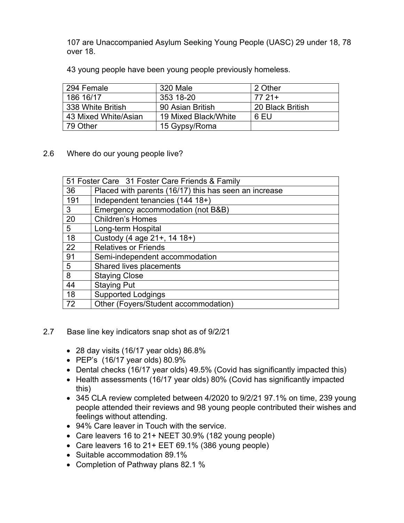107 are Unaccompanied Asylum Seeking Young People (UASC) 29 under 18, 78 over 18.

43 young people have been young people previously homeless.

| 294 Female           | 320 Male             | 2 Other          |
|----------------------|----------------------|------------------|
| 186 16/17            | 353 18-20            | 77 21+           |
| 338 White British    | 90 Asian British     | 20 Black British |
| 43 Mixed White/Asian | 19 Mixed Black/White | 6 EU             |
| 79 Other             | 15 Gypsy/Roma        |                  |

2.6 Where do our young people live?

| 51 Foster Care 31 Foster Care Friends & Family |                                                       |  |
|------------------------------------------------|-------------------------------------------------------|--|
| 36                                             | Placed with parents (16/17) this has seen an increase |  |
| 191                                            | Independent tenancies (144 18+)                       |  |
| 3                                              | Emergency accommodation (not B&B)                     |  |
| 20                                             | <b>Children's Homes</b>                               |  |
| 5                                              | Long-term Hospital                                    |  |
| 18                                             | Custody (4 age 21+, 14 18+)                           |  |
| 22                                             | <b>Relatives or Friends</b>                           |  |
| 91                                             | Semi-independent accommodation                        |  |
| 5                                              | Shared lives placements                               |  |
| 8                                              | <b>Staying Close</b>                                  |  |
| 44                                             | <b>Staying Put</b>                                    |  |
| 18                                             | <b>Supported Lodgings</b>                             |  |
| 72                                             | Other (Foyers/Student accommodation)                  |  |

- 2.7 Base line key indicators snap shot as of 9/2/21
	- 28 day visits (16/17 year olds) 86.8%
	- PEP's (16/17 year olds) 80.9%
	- Dental checks (16/17 year olds) 49.5% (Covid has significantly impacted this)
	- Health assessments (16/17 year olds) 80% (Covid has significantly impacted this)
	- 345 CLA review completed between 4/2020 to 9/2/21 97.1% on time, 239 young people attended their reviews and 98 young people contributed their wishes and feelings without attending.
	- 94% Care leaver in Touch with the service.
	- Care leavers 16 to 21+ NEET 30.9% (182 young people)
	- Care leavers 16 to 21+ EET 69.1% (386 young people)
	- Suitable accommodation 89.1%
	- Completion of Pathway plans 82.1 %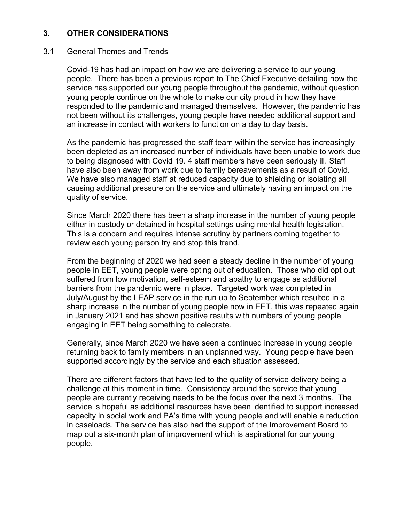#### **3. OTHER CONSIDERATIONS**

#### 3.1 General Themes and Trends

Covid-19 has had an impact on how we are delivering a service to our young people. There has been a previous report to The Chief Executive detailing how the service has supported our young people throughout the pandemic, without question young people continue on the whole to make our city proud in how they have responded to the pandemic and managed themselves. However, the pandemic has not been without its challenges, young people have needed additional support and an increase in contact with workers to function on a day to day basis.

As the pandemic has progressed the staff team within the service has increasingly been depleted as an increased number of individuals have been unable to work due to being diagnosed with Covid 19. 4 staff members have been seriously ill. Staff have also been away from work due to family bereavements as a result of Covid. We have also managed staff at reduced capacity due to shielding or isolating all causing additional pressure on the service and ultimately having an impact on the quality of service.

Since March 2020 there has been a sharp increase in the number of young people either in custody or detained in hospital settings using mental health legislation. This is a concern and requires intense scrutiny by partners coming together to review each young person try and stop this trend.

From the beginning of 2020 we had seen a steady decline in the number of young people in EET, young people were opting out of education. Those who did opt out suffered from low motivation, self-esteem and apathy to engage as additional barriers from the pandemic were in place. Targeted work was completed in July/August by the LEAP service in the run up to September which resulted in a sharp increase in the number of young people now in EET, this was repeated again in January 2021 and has shown positive results with numbers of young people engaging in EET being something to celebrate.

Generally, since March 2020 we have seen a continued increase in young people returning back to family members in an unplanned way. Young people have been supported accordingly by the service and each situation assessed.

There are different factors that have led to the quality of service delivery being a challenge at this moment in time. Consistency around the service that young people are currently receiving needs to be the focus over the next 3 months. The service is hopeful as additional resources have been identified to support increased capacity in social work and PA's time with young people and will enable a reduction in caseloads. The service has also had the support of the Improvement Board to map out a six-month plan of improvement which is aspirational for our young people.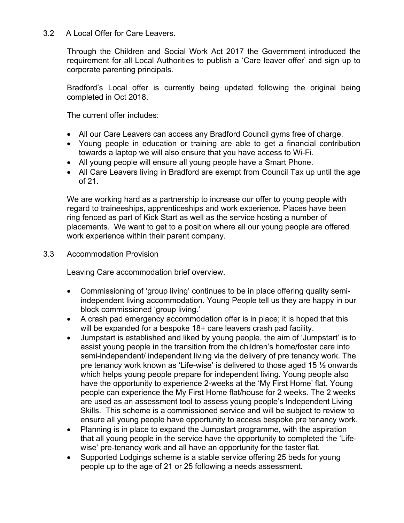#### 3.2 A Local Offer for Care Leavers.

Through the Children and Social Work Act 2017 the Government introduced the requirement for all Local Authorities to publish a 'Care leaver offer' and sign up to corporate parenting principals.

Bradford's Local offer is currently being updated following the original being completed in Oct 2018.

The current offer includes:

- All our Care Leavers can access any Bradford Council gyms free of charge.
- Young people in education or training are able to get a financial contribution towards a laptop we will also ensure that you have access to Wi-Fi.
- All young people will ensure all young people have a Smart Phone.
- All Care Leavers living in Bradford are exempt from Council Tax up until the age of 21.

We are working hard as a partnership to increase our offer to young people with regard to traineeships, apprenticeships and work experience. Places have been ring fenced as part of Kick Start as well as the service hosting a number of placements. We want to get to a position where all our young people are offered work experience within their parent company.

#### 3.3 Accommodation Provision

Leaving Care accommodation brief overview.

- Commissioning of 'group living' continues to be in place offering quality semiindependent living accommodation. Young People tell us they are happy in our block commissioned 'group living.'
- A crash pad emergency accommodation offer is in place; it is hoped that this will be expanded for a bespoke 18+ care leavers crash pad facility.
- Jumpstart is established and liked by young people, the aim of 'Jumpstart' is to assist young people in the transition from the children's home/foster care into semi-independent/ independent living via the delivery of pre tenancy work. The pre tenancy work known as 'Life-wise' is delivered to those aged 15 ½ onwards which helps young people prepare for independent living. Young people also have the opportunity to experience 2-weeks at the 'My First Home' flat. Young people can experience the My First Home flat/house for 2 weeks. The 2 weeks are used as an assessment tool to assess young people's Independent Living Skills. This scheme is a commissioned service and will be subject to review to ensure all young people have opportunity to access bespoke pre tenancy work.
- Planning is in place to expand the Jumpstart programme, with the aspiration that all young people in the service have the opportunity to completed the 'Lifewise' pre-tenancy work and all have an opportunity for the taster flat.
- Supported Lodgings scheme is a stable service offering 25 beds for young people up to the age of 21 or 25 following a needs assessment.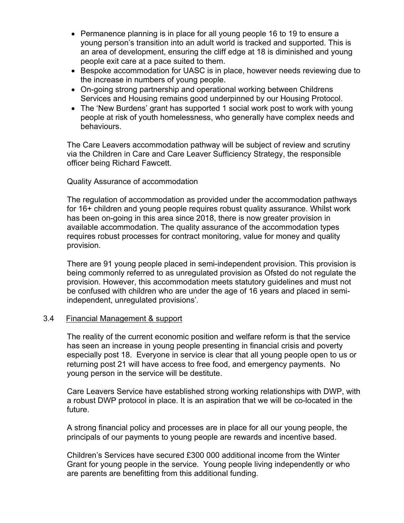- Permanence planning is in place for all young people 16 to 19 to ensure a young person's transition into an adult world is tracked and supported. This is an area of development, ensuring the cliff edge at 18 is diminished and young people exit care at a pace suited to them.
- Bespoke accommodation for UASC is in place, however needs reviewing due to the increase in numbers of young people.
- On-going strong partnership and operational working between Childrens Services and Housing remains good underpinned by our Housing Protocol.
- The 'New Burdens' grant has supported 1 social work post to work with young people at risk of youth homelessness, who generally have complex needs and behaviours.

The Care Leavers accommodation pathway will be subject of review and scrutiny via the Children in Care and Care Leaver Sufficiency Strategy, the responsible officer being Richard Fawcett.

#### Quality Assurance of accommodation

The regulation of accommodation as provided under the accommodation pathways for 16+ children and young people requires robust quality assurance. Whilst work has been on-going in this area since 2018, there is now greater provision in available accommodation. The quality assurance of the accommodation types requires robust processes for contract monitoring, value for money and quality provision.

There are 91 young people placed in semi-independent provision. This provision is being commonly referred to as unregulated provision as Ofsted do not regulate the provision. However, this accommodation meets statutory guidelines and must not be confused with children who are under the age of 16 years and placed in semiindependent, unregulated provisions'.

#### 3.4 Financial Management & support

The reality of the current economic position and welfare reform is that the service has seen an increase in young people presenting in financial crisis and poverty especially post 18. Everyone in service is clear that all young people open to us or returning post 21 will have access to free food, and emergency payments. No young person in the service will be destitute.

Care Leavers Service have established strong working relationships with DWP, with a robust DWP protocol in place. It is an aspiration that we will be co-located in the future.

A strong financial policy and processes are in place for all our young people, the principals of our payments to young people are rewards and incentive based.

Children's Services have secured £300 000 additional income from the Winter Grant for young people in the service. Young people living independently or who are parents are benefitting from this additional funding.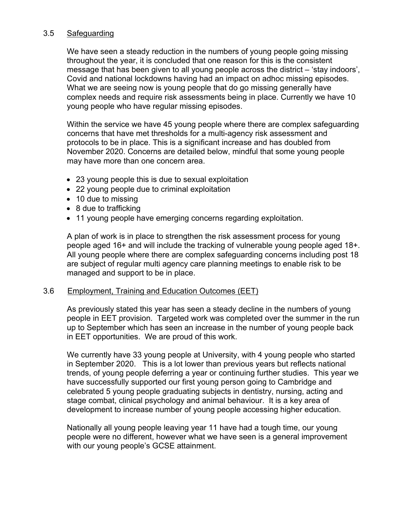#### 3.5 Safeguarding

We have seen a steady reduction in the numbers of young people going missing throughout the year, it is concluded that one reason for this is the consistent message that has been given to all young people across the district – 'stay indoors', Covid and national lockdowns having had an impact on adhoc missing episodes. What we are seeing now is young people that do go missing generally have complex needs and require risk assessments being in place. Currently we have 10 young people who have regular missing episodes.

Within the service we have 45 young people where there are complex safeguarding concerns that have met thresholds for a multi-agency risk assessment and protocols to be in place. This is a significant increase and has doubled from November 2020. Concerns are detailed below, mindful that some young people may have more than one concern area.

- 23 young people this is due to sexual exploitation
- 22 young people due to criminal exploitation
- 10 due to missing
- 8 due to trafficking
- 11 young people have emerging concerns regarding exploitation.

A plan of work is in place to strengthen the risk assessment process for young people aged 16+ and will include the tracking of vulnerable young people aged 18+. All young people where there are complex safeguarding concerns including post 18 are subject of regular multi agency care planning meetings to enable risk to be managed and support to be in place.

#### 3.6 Employment, Training and Education Outcomes (EET)

As previously stated this year has seen a steady decline in the numbers of young people in EET provision. Targeted work was completed over the summer in the run up to September which has seen an increase in the number of young people back in EET opportunities. We are proud of this work.

We currently have 33 young people at University, with 4 young people who started in September 2020. This is a lot lower than previous years but reflects national trends, of young people deferring a year or continuing further studies. This year we have successfully supported our first young person going to Cambridge and celebrated 5 young people graduating subjects in dentistry, nursing, acting and stage combat, clinical psychology and animal behaviour. It is a key area of development to increase number of young people accessing higher education.

Nationally all young people leaving year 11 have had a tough time, our young people were no different, however what we have seen is a general improvement with our young people's GCSE attainment.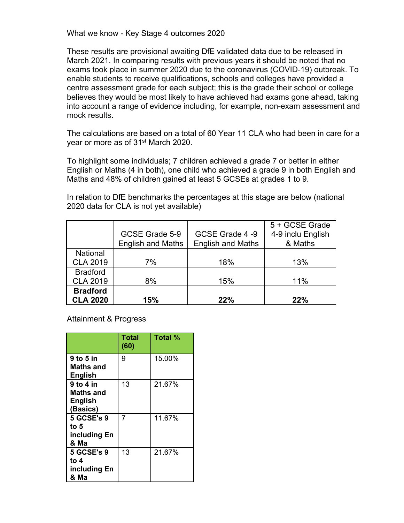#### What we know - Key Stage 4 outcomes 2020

These results are provisional awaiting DfE validated data due to be released in March 2021. In comparing results with previous years it should be noted that no exams took place in summer 2020 due to the coronavirus (COVID-19) outbreak. To enable students to receive qualifications, schools and colleges have provided a centre assessment grade for each subject; this is the grade their school or college believes they would be most likely to have achieved had exams gone ahead, taking into account a range of evidence including, for example, non-exam assessment and mock results.

The calculations are based on a total of 60 Year 11 CLA who had been in care for a year or more as of 31st March 2020.

To highlight some individuals; 7 children achieved a grade 7 or better in either English or Maths (4 in both), one child who achieved a grade 9 in both English and Maths and 48% of children gained at least 5 GCSEs at grades 1 to 9.

In relation to DfE benchmarks the percentages at this stage are below (national 2020 data for CLA is not yet available)

|                                    | GCSE Grade 5-9<br><b>English and Maths</b> | GCSE Grade 4-9<br><b>English and Maths</b> | 5 + GCSE Grade<br>4-9 inclu English<br>& Maths |
|------------------------------------|--------------------------------------------|--------------------------------------------|------------------------------------------------|
| National<br><b>CLA 2019</b>        | 7%                                         | 18%                                        | 13%                                            |
| <b>Bradford</b><br><b>CLA 2019</b> | 8%                                         | 15%                                        | 11%                                            |
| <b>Bradford</b><br><b>CLA 2020</b> | 15%                                        | 22%                                        | 22%                                            |

Attainment & Progress

|                                                             | Total<br>(60) | <b>Total %</b> |
|-------------------------------------------------------------|---------------|----------------|
| 9 to 5 in<br>Maths and<br><b>English</b>                    | 9             | 15.00%         |
| 9 to 4 in<br><b>Maths and</b><br><b>English</b><br>(Basics) | 13            | 21.67%         |
| <b>5 GCSE's 9</b><br>to 5<br>including En<br>& Ma           | 7             | 11.67%         |
| <b>5 GCSE's 9</b><br>to 4<br>including En<br>  & Ma         | 13            | 21.67%         |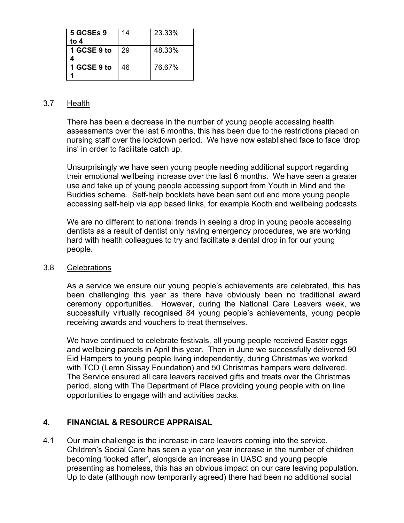| 5 GCSEs 9<br>to 4 | 14 | 23.33% |
|-------------------|----|--------|
| 1 GCSE 9 to       | 29 | 48.33% |
| 1 GCSE 9 to       | 46 | 76.67% |

#### 3.7 Health

There has been a decrease in the number of young people accessing health assessments over the last 6 months, this has been due to the restrictions placed on nursing staff over the lockdown period. We have now established face to face 'drop ins' in order to facilitate catch up.

Unsurprisingly we have seen young people needing additional support regarding their emotional wellbeing increase over the last 6 months. We have seen a greater use and take up of young people accessing support from Youth in Mind and the Buddies scheme. Self-help booklets have been sent out and more young people accessing self-help via app based links, for example Kooth and wellbeing podcasts.

We are no different to national trends in seeing a drop in young people accessing dentists as a result of dentist only having emergency procedures, we are working hard with health colleagues to try and facilitate a dental drop in for our young people.

#### 3.8 Celebrations

As a service we ensure our young people's achievements are celebrated, this has been challenging this year as there have obviously been no traditional award ceremony opportunities. However, during the National Care Leavers week, we successfully virtually recognised 84 young people's achievements, young people receiving awards and vouchers to treat themselves.

We have continued to celebrate festivals, all young people received Easter eggs and wellbeing parcels in April this year. Then in June we successfully delivered 90 Eid Hampers to young people living independently, during Christmas we worked with TCD (Lemn Sissay Foundation) and 50 Christmas hampers were delivered. The Service ensured all care leavers received gifts and treats over the Christmas period, along with The Department of Place providing young people with on line opportunities to engage with and activities packs.

### **4. FINANCIAL & RESOURCE APPRAISAL**

4.1 Our main challenge is the increase in care leavers coming into the service. Children's Social Care has seen a year on year increase in the number of children becoming 'looked after', alongside an increase in UASC and young people presenting as homeless, this has an obvious impact on our care leaving population. Up to date (although now temporarily agreed) there had been no additional social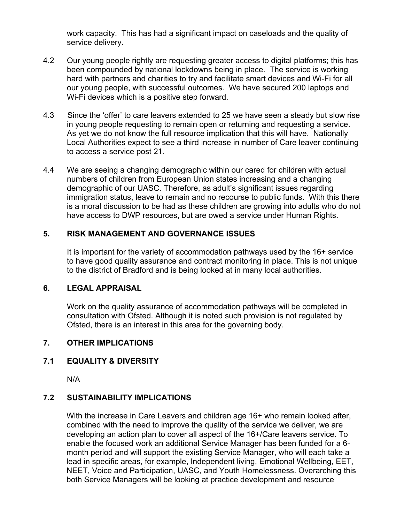work capacity. This has had a significant impact on caseloads and the quality of service delivery.

- 4.2 Our young people rightly are requesting greater access to digital platforms; this has been compounded by national lockdowns being in place. The service is working hard with partners and charities to try and facilitate smart devices and Wi-Fi for all our young people, with successful outcomes. We have secured 200 laptops and Wi-Fi devices which is a positive step forward.
- 4.3 Since the 'offer' to care leavers extended to 25 we have seen a steady but slow rise in young people requesting to remain open or returning and requesting a service. As yet we do not know the full resource implication that this will have. Nationally Local Authorities expect to see a third increase in number of Care leaver continuing to access a service post 21.
- 4.4 We are seeing a changing demographic within our cared for children with actual numbers of children from European Union states increasing and a changing demographic of our UASC. Therefore, as adult's significant issues regarding immigration status, leave to remain and no recourse to public funds. With this there is a moral discussion to be had as these children are growing into adults who do not have access to DWP resources, but are owed a service under Human Rights.

### **5. RISK MANAGEMENT AND GOVERNANCE ISSUES**

It is important for the variety of accommodation pathways used by the 16+ service to have good quality assurance and contract monitoring in place. This is not unique to the district of Bradford and is being looked at in many local authorities.

#### **6. LEGAL APPRAISAL**

Work on the quality assurance of accommodation pathways will be completed in consultation with Ofsted. Although it is noted such provision is not regulated by Ofsted, there is an interest in this area for the governing body.

### **7. OTHER IMPLICATIONS**

### **7.1 EQUALITY & DIVERSITY**

N/A

#### **7.2 SUSTAINABILITY IMPLICATIONS**

With the increase in Care Leavers and children age 16+ who remain looked after, combined with the need to improve the quality of the service we deliver, we are developing an action plan to cover all aspect of the 16+/Care leavers service. To enable the focused work an additional Service Manager has been funded for a 6 month period and will support the existing Service Manager, who will each take a lead in specific areas, for example, Independent living, Emotional Wellbeing, EET, NEET, Voice and Participation, UASC, and Youth Homelessness. Overarching this both Service Managers will be looking at practice development and resource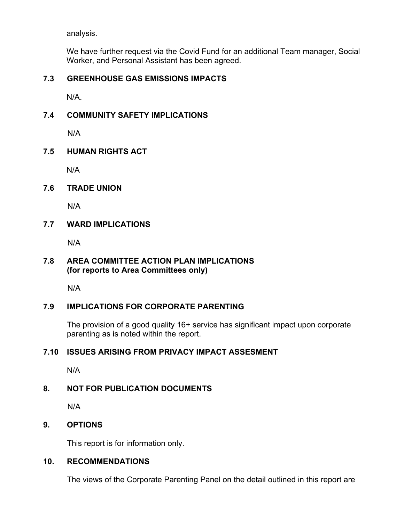analysis.

We have further request via the Covid Fund for an additional Team manager, Social Worker, and Personal Assistant has been agreed.

### **7.3 GREENHOUSE GAS EMISSIONS IMPACTS**

N/A.

### **7.4 COMMUNITY SAFETY IMPLICATIONS**

N/A

### **7.5 HUMAN RIGHTS ACT**

N/A

### **7.6 TRADE UNION**

N/A

### **7.7 WARD IMPLICATIONS**

N/A

### **7.8 AREA COMMITTEE ACTION PLAN IMPLICATIONS (for reports to Area Committees only)**

N/A

### **7.9 IMPLICATIONS FOR CORPORATE PARENTING**

The provision of a good quality 16+ service has significant impact upon corporate parenting as is noted within the report.

### **7.10 ISSUES ARISING FROM PRIVACY IMPACT ASSESMENT**

N/A

# **8. NOT FOR PUBLICATION DOCUMENTS**

N/A

# **9. OPTIONS**

This report is for information only.

# **10. RECOMMENDATIONS**

The views of the Corporate Parenting Panel on the detail outlined in this report are